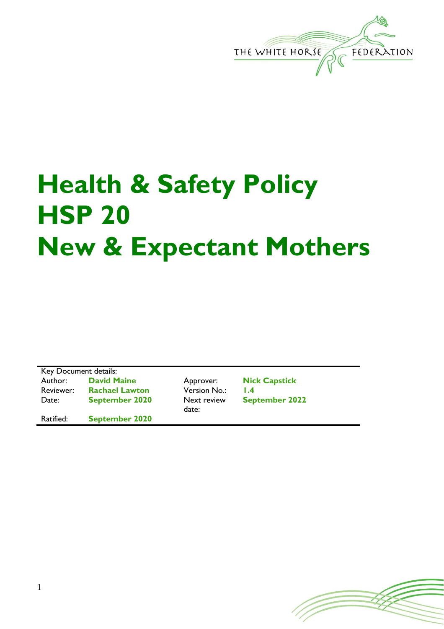

## **Health & Safety Policy HSP 20 New & Expectant Mothers**

Key Document details:<br>Author: David M **David Maine Approver: Nick Capstick** Reviewer: **Rachael Lawton** Version No.: **1.4** Date: **September 2020** Next review Ratified: **September 2020**

date:

**September 2022**

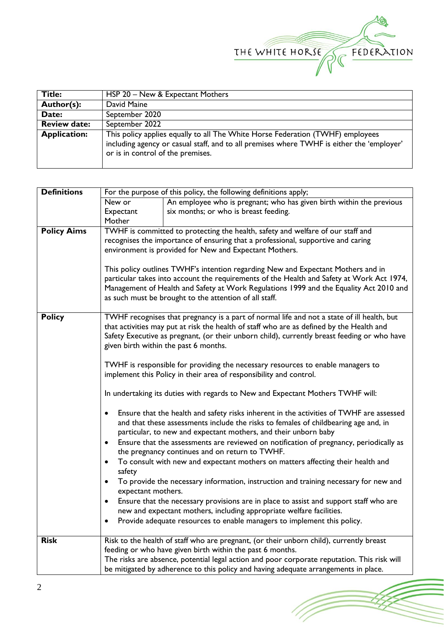

(Topon

| Title:              | HSP 20 – New & Expectant Mothers                                                                                                                                                                                 |  |  |
|---------------------|------------------------------------------------------------------------------------------------------------------------------------------------------------------------------------------------------------------|--|--|
| Author(s):          | David Maine                                                                                                                                                                                                      |  |  |
| Date:               | September 2020                                                                                                                                                                                                   |  |  |
| <b>Review date:</b> | September 2022                                                                                                                                                                                                   |  |  |
| <b>Application:</b> | This policy applies equally to all The White Horse Federation (TWHF) employees<br>including agency or casual staff, and to all premises where TWHF is either the 'employer'<br>or is in control of the premises. |  |  |

| <b>Definitions</b> | For the purpose of this policy, the following definitions apply;                                                                                                                                                                                                                                                                  |                                                                                         |  |  |  |  |
|--------------------|-----------------------------------------------------------------------------------------------------------------------------------------------------------------------------------------------------------------------------------------------------------------------------------------------------------------------------------|-----------------------------------------------------------------------------------------|--|--|--|--|
|                    | New or                                                                                                                                                                                                                                                                                                                            | An employee who is pregnant; who has given birth within the previous                    |  |  |  |  |
|                    | Expectant                                                                                                                                                                                                                                                                                                                         | six months; or who is breast feeding.                                                   |  |  |  |  |
|                    | Mother                                                                                                                                                                                                                                                                                                                            |                                                                                         |  |  |  |  |
| <b>Policy Aims</b> | TWHF is committed to protecting the health, safety and welfare of our staff and                                                                                                                                                                                                                                                   |                                                                                         |  |  |  |  |
|                    | recognises the importance of ensuring that a professional, supportive and caring                                                                                                                                                                                                                                                  |                                                                                         |  |  |  |  |
|                    |                                                                                                                                                                                                                                                                                                                                   | environment is provided for New and Expectant Mothers.                                  |  |  |  |  |
|                    | This policy outlines TWHF's intention regarding New and Expectant Mothers and in<br>particular takes into account the requirements of the Health and Safety at Work Act 1974,<br>Management of Health and Safety at Work Regulations 1999 and the Equality Act 2010 and<br>as such must be brought to the attention of all staff. |                                                                                         |  |  |  |  |
| <b>Policy</b>      | TWHF recognises that pregnancy is a part of normal life and not a state of ill health, but<br>that activities may put at risk the health of staff who are as defined by the Health and<br>Safety Executive as pregnant, (or their unborn child), currently breast feeding or who have<br>given birth within the past 6 months.    |                                                                                         |  |  |  |  |
|                    | TWHF is responsible for providing the necessary resources to enable managers to<br>implement this Policy in their area of responsibility and control.                                                                                                                                                                             |                                                                                         |  |  |  |  |
|                    | In undertaking its duties with regards to New and Expectant Mothers TWHF will:                                                                                                                                                                                                                                                    |                                                                                         |  |  |  |  |
|                    | Ensure that the health and safety risks inherent in the activities of TWHF are assessed<br>$\bullet$<br>and that these assessments include the risks to females of childbearing age and, in<br>particular, to new and expectant mothers, and their unborn baby                                                                    |                                                                                         |  |  |  |  |
|                    | Ensure that the assessments are reviewed on notification of pregnancy, periodically as<br>$\bullet$<br>the pregnancy continues and on return to TWHF.                                                                                                                                                                             |                                                                                         |  |  |  |  |
|                    | To consult with new and expectant mothers on matters affecting their health and<br>$\bullet$<br>safety                                                                                                                                                                                                                            |                                                                                         |  |  |  |  |
|                    | To provide the necessary information, instruction and training necessary for new and<br>$\bullet$<br>expectant mothers.                                                                                                                                                                                                           |                                                                                         |  |  |  |  |
|                    | Ensure that the necessary provisions are in place to assist and support staff who are<br>$\bullet$                                                                                                                                                                                                                                |                                                                                         |  |  |  |  |
|                    | new and expectant mothers, including appropriate welfare facilities.                                                                                                                                                                                                                                                              |                                                                                         |  |  |  |  |
|                    | ٠                                                                                                                                                                                                                                                                                                                                 | Provide adequate resources to enable managers to implement this policy.                 |  |  |  |  |
| <b>Risk</b>        |                                                                                                                                                                                                                                                                                                                                   | Risk to the health of staff who are pregnant, (or their unborn child), currently breast |  |  |  |  |
|                    | feeding or who have given birth within the past 6 months.                                                                                                                                                                                                                                                                         |                                                                                         |  |  |  |  |
|                    | The risks are absence, potential legal action and poor corporate reputation. This risk will                                                                                                                                                                                                                                       |                                                                                         |  |  |  |  |
|                    | be mitigated by adherence to this policy and having adequate arrangements in place.                                                                                                                                                                                                                                               |                                                                                         |  |  |  |  |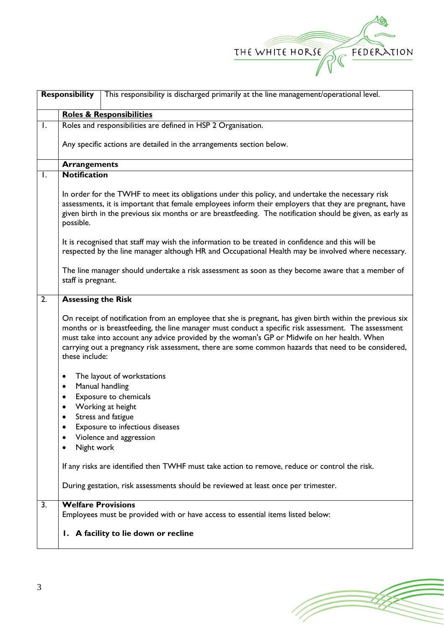

| <b>Responsibility</b><br>This responsibility is discharged primarily at the line management/operational level. |                                                                                                                                                                                                                                                                                                                                                                                                                                           |  |  |  |  |
|----------------------------------------------------------------------------------------------------------------|-------------------------------------------------------------------------------------------------------------------------------------------------------------------------------------------------------------------------------------------------------------------------------------------------------------------------------------------------------------------------------------------------------------------------------------------|--|--|--|--|
|                                                                                                                | <b>Roles &amp; Responsibilities</b>                                                                                                                                                                                                                                                                                                                                                                                                       |  |  |  |  |
| Ι.                                                                                                             | Roles and responsibilities are defined in HSP 2 Organisation.                                                                                                                                                                                                                                                                                                                                                                             |  |  |  |  |
|                                                                                                                | Any specific actions are detailed in the arrangements section below.                                                                                                                                                                                                                                                                                                                                                                      |  |  |  |  |
|                                                                                                                | <b>Arrangements</b>                                                                                                                                                                                                                                                                                                                                                                                                                       |  |  |  |  |
| $\mathsf{I}$ .                                                                                                 | <b>Notification</b>                                                                                                                                                                                                                                                                                                                                                                                                                       |  |  |  |  |
|                                                                                                                | In order for the TWHF to meet its obligations under this policy, and undertake the necessary risk<br>assessments, it is important that female employees inform their employers that they are pregnant, have<br>given birth in the previous six months or are breastfeeding. The notification should be given, as early as<br>possible.                                                                                                    |  |  |  |  |
|                                                                                                                | It is recognised that staff may wish the information to be treated in confidence and this will be<br>respected by the line manager although HR and Occupational Health may be involved where necessary.                                                                                                                                                                                                                                   |  |  |  |  |
|                                                                                                                | The line manager should undertake a risk assessment as soon as they become aware that a member of<br>staff is pregnant.                                                                                                                                                                                                                                                                                                                   |  |  |  |  |
| $\overline{2}$ .                                                                                               | <b>Assessing the Risk</b>                                                                                                                                                                                                                                                                                                                                                                                                                 |  |  |  |  |
|                                                                                                                | On receipt of notification from an employee that she is pregnant, has given birth within the previous six<br>months or is breastfeeding, the line manager must conduct a specific risk assessment. The assessment<br>must take into account any advice provided by the woman's GP or Midwife on her health. When<br>carrying out a pregnancy risk assessment, there are some common hazards that need to be considered,<br>these include: |  |  |  |  |
|                                                                                                                | The layout of workstations<br>٠                                                                                                                                                                                                                                                                                                                                                                                                           |  |  |  |  |
|                                                                                                                | Manual handling<br>٠                                                                                                                                                                                                                                                                                                                                                                                                                      |  |  |  |  |
|                                                                                                                | Exposure to chemicals<br>٠                                                                                                                                                                                                                                                                                                                                                                                                                |  |  |  |  |
|                                                                                                                | Working at height<br>Stress and fatigue<br>$\bullet$                                                                                                                                                                                                                                                                                                                                                                                      |  |  |  |  |
|                                                                                                                | Exposure to infectious diseases<br>٠                                                                                                                                                                                                                                                                                                                                                                                                      |  |  |  |  |
|                                                                                                                | Violence and aggression                                                                                                                                                                                                                                                                                                                                                                                                                   |  |  |  |  |
|                                                                                                                | Night work                                                                                                                                                                                                                                                                                                                                                                                                                                |  |  |  |  |
|                                                                                                                | If any risks are identified then TWHF must take action to remove, reduce or control the risk.                                                                                                                                                                                                                                                                                                                                             |  |  |  |  |
|                                                                                                                | During gestation, risk assessments should be reviewed at least once per trimester.                                                                                                                                                                                                                                                                                                                                                        |  |  |  |  |
| 3.                                                                                                             | <b>Welfare Provisions</b>                                                                                                                                                                                                                                                                                                                                                                                                                 |  |  |  |  |
|                                                                                                                | Employees must be provided with or have access to essential items listed below:                                                                                                                                                                                                                                                                                                                                                           |  |  |  |  |
|                                                                                                                | I. A facility to lie down or recline                                                                                                                                                                                                                                                                                                                                                                                                      |  |  |  |  |